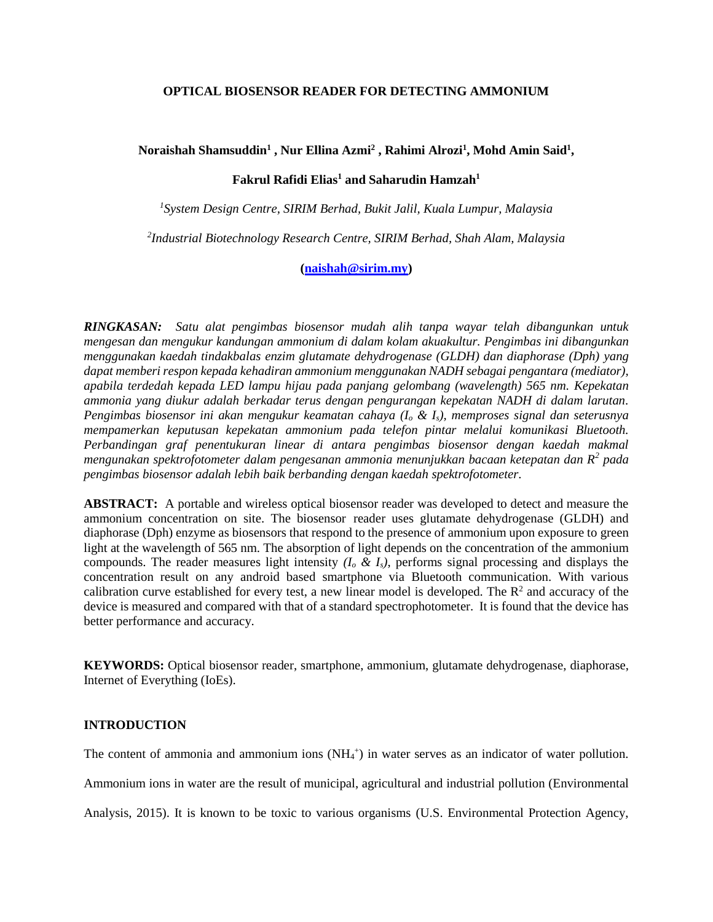#### **OPTICAL BIOSENSOR READER FOR DETECTING AMMONIUM**

# **Noraishah Shamsuddin<sup>1</sup> , Nur Ellina Azmi<sup>2</sup> , Rahimi Alrozi<sup>1</sup> , Mohd Amin Said<sup>1</sup> ,**

# **Fakrul Rafidi Elias<sup>1</sup> and Saharudin Hamzah<sup>1</sup>**

*1 System Design Centre, SIRIM Berhad, Bukit Jalil, Kuala Lumpur, Malaysia*

*2 Industrial Biotechnology Research Centre, SIRIM Berhad, Shah Alam, Malaysia*

# **[\(naishah@sirim.my\)](mailto:naishah@sirim.my)**

*RINGKASAN: Satu alat pengimbas biosensor mudah alih tanpa wayar telah dibangunkan untuk mengesan dan mengukur kandungan ammonium di dalam kolam akuakultur. Pengimbas ini dibangunkan menggunakan kaedah tindakbalas enzim glutamate dehydrogenase (GLDH) dan diaphorase (Dph) yang dapat memberi respon kepada kehadiran ammonium menggunakan NADH sebagai pengantara (mediator), apabila terdedah kepada LED lampu hijau pada panjang gelombang (wavelength) 565 nm. Kepekatan ammonia yang diukur adalah berkadar terus dengan pengurangan kepekatan NADH di dalam larutan. Pengimbas biosensor ini akan mengukur keamatan cahaya (I<sup>o</sup> & Is), memproses signal dan seterusnya mempamerkan keputusan kepekatan ammonium pada telefon pintar melalui komunikasi Bluetooth. Perbandingan graf penentukuran linear di antara pengimbas biosensor dengan kaedah makmal mengunakan spektrofotometer dalam pengesanan ammonia menunjukkan bacaan ketepatan dan R<sup>2</sup> pada pengimbas biosensor adalah lebih baik berbanding dengan kaedah spektrofotometer.* 

**ABSTRACT:** A portable and wireless optical biosensor reader was developed to detect and measure the ammonium concentration on site. The biosensor reader uses glutamate dehydrogenase (GLDH) and diaphorase (Dph) enzyme as biosensors that respond to the presence of ammonium upon exposure to green light at the wavelength of 565 nm. The absorption of light depends on the concentration of the ammonium compounds. The reader measures light intensity  $(I_o \& I_s)$ , performs signal processing and displays the concentration result on any android based smartphone via Bluetooth communication. With various calibration curve established for every test, a new linear model is developed. The  $\mathbb{R}^2$  and accuracy of the device is measured and compared with that of a standard spectrophotometer. It is found that the device has better performance and accuracy.

**KEYWORDS:** Optical biosensor reader, smartphone, ammonium, glutamate dehydrogenase, diaphorase, Internet of Everything (IoEs).

#### **INTRODUCTION**

The content of ammonia and ammonium ions  $(NH_4^+)$  in water serves as an indicator of water pollution.

Ammonium ions in water are the result of municipal, agricultural and industrial pollution (Environmental

Analysis, 2015). It is known to be toxic to various organisms (U.S. Environmental Protection Agency,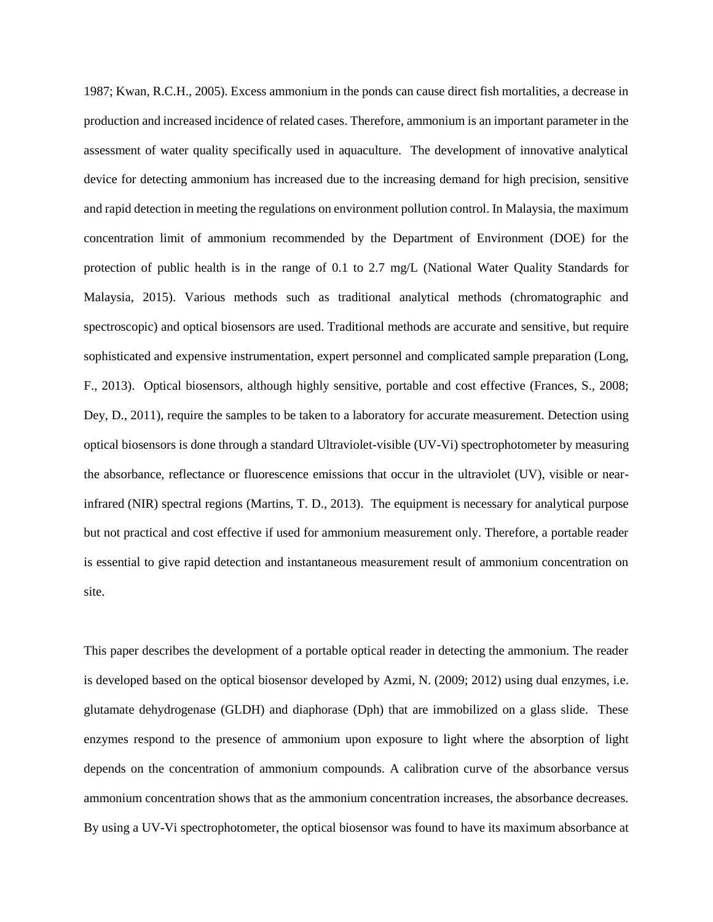1987; Kwan, R.C.H., 2005). Excess ammonium in the ponds can cause direct fish mortalities, a decrease in production and increased incidence of related cases. Therefore, ammonium is an important parameter in the assessment of water quality specifically used in aquaculture. The development of innovative analytical device for detecting ammonium has increased due to the increasing demand for high precision, sensitive and rapid detection in meeting the regulations on environment pollution control. In Malaysia, the maximum concentration limit of ammonium recommended by the Department of Environment (DOE) for the protection of public health is in the range of 0.1 to 2.7 mg/L (National Water Quality Standards for Malaysia, 2015). Various methods such as traditional analytical methods (chromatographic and spectroscopic) and optical biosensors are used. Traditional methods are accurate and sensitive, but require sophisticated and expensive instrumentation, expert personnel and complicated sample preparation (Long, F., 2013). Optical biosensors, although highly sensitive, portable and cost effective (Frances, S., 2008; Dey, D., 2011), require the samples to be taken to a laboratory for accurate measurement. Detection using optical biosensors is done through a standard Ultraviolet-visible (UV-Vi) spectrophotometer by measuring the absorbance, reflectance or fluorescence emissions that occur in the ultraviolet (UV), visible or nearinfrared (NIR) spectral regions (Martins, T. D., 2013). The equipment is necessary for analytical purpose but not practical and cost effective if used for ammonium measurement only. Therefore, a portable reader is essential to give rapid detection and instantaneous measurement result of ammonium concentration on site.

This paper describes the development of a portable optical reader in detecting the ammonium. The reader is developed based on the optical biosensor developed by Azmi, N. (2009; 2012) using dual enzymes, i.e. glutamate dehydrogenase (GLDH) and diaphorase (Dph) that are immobilized on a glass slide. These enzymes respond to the presence of ammonium upon exposure to light where the absorption of light depends on the concentration of ammonium compounds. A calibration curve of the absorbance versus ammonium concentration shows that as the ammonium concentration increases, the absorbance decreases. By using a UV-Vi spectrophotometer, the optical biosensor was found to have its maximum absorbance at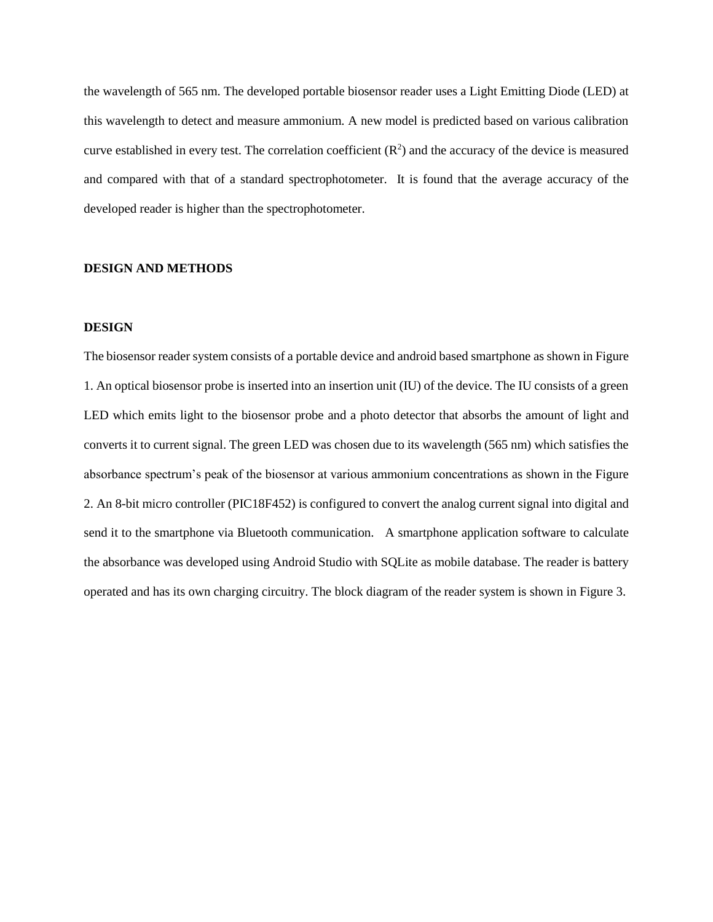the wavelength of 565 nm. The developed portable biosensor reader uses a Light Emitting Diode (LED) at this wavelength to detect and measure ammonium. A new model is predicted based on various calibration curve established in every test. The correlation coefficient  $(R^2)$  and the accuracy of the device is measured and compared with that of a standard spectrophotometer. It is found that the average accuracy of the developed reader is higher than the spectrophotometer.

# **DESIGN AND METHODS**

### **DESIGN**

The biosensor reader system consists of a portable device and android based smartphone as shown in Figure 1. An optical biosensor probe is inserted into an insertion unit (IU) of the device. The IU consists of a green LED which emits light to the biosensor probe and a photo detector that absorbs the amount of light and converts it to current signal. The green LED was chosen due to its wavelength (565 nm) which satisfies the absorbance spectrum's peak of the biosensor at various ammonium concentrations as shown in the Figure 2. An 8-bit micro controller (PIC18F452) is configured to convert the analog current signal into digital and send it to the smartphone via Bluetooth communication. A smartphone application software to calculate the absorbance was developed using Android Studio with SQLite as mobile database. The reader is battery operated and has its own charging circuitry. The block diagram of the reader system is shown in Figure 3.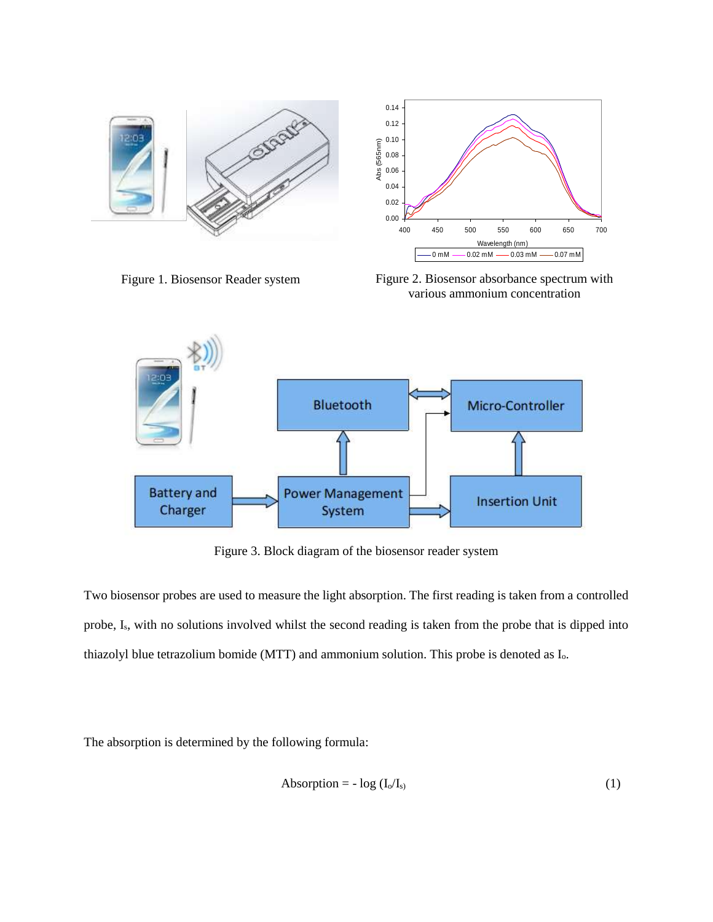



Figure 1. Biosensor Reader system Figure 2. Biosensor absorbance spectrum with various ammonium concentration



0.02 0.04 0.06 0.08 0.10 0.12 0.14

Abs (565nm)

Abs (565nm)

Figure 3. Block diagram of the biosensor reader system

Two biosensor probes are used to measure the light absorption. The first reading is taken from a controlled probe, Is, with no solutions involved whilst the second reading is taken from the probe that is dipped into thiazolyl blue tetrazolium bomide (MTT) and ammonium solution. This probe is denoted as Io.

The absorption is determined by the following formula:

$$
Absorption = -\log (I_0/I_s) \tag{1}
$$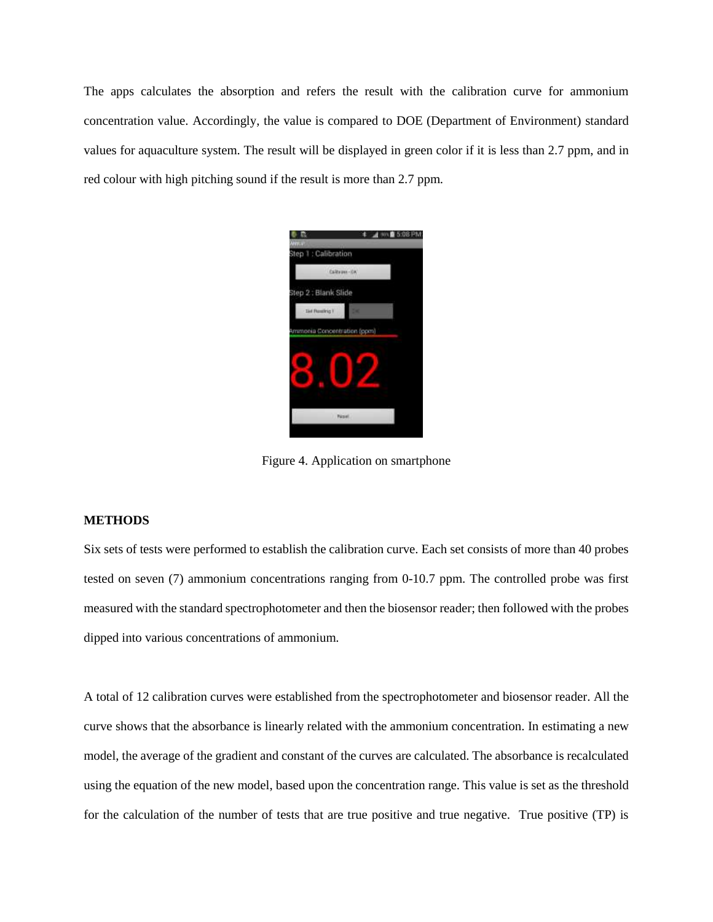The apps calculates the absorption and refers the result with the calibration curve for ammonium concentration value. Accordingly, the value is compared to DOE (Department of Environment) standard values for aquaculture system. The result will be displayed in green color if it is less than 2.7 ppm, and in red colour with high pitching sound if the result is more than 2.7 ppm.



Figure 4. Application on smartphone

### **METHODS**

Six sets of tests were performed to establish the calibration curve. Each set consists of more than 40 probes tested on seven (7) ammonium concentrations ranging from 0-10.7 ppm. The controlled probe was first measured with the standard spectrophotometer and then the biosensor reader; then followed with the probes dipped into various concentrations of ammonium.

A total of 12 calibration curves were established from the spectrophotometer and biosensor reader. All the curve shows that the absorbance is linearly related with the ammonium concentration. In estimating a new model, the average of the gradient and constant of the curves are calculated. The absorbance is recalculated using the equation of the new model, based upon the concentration range. This value is set as the threshold for the calculation of the number of tests that are true positive and true negative. True positive (TP) is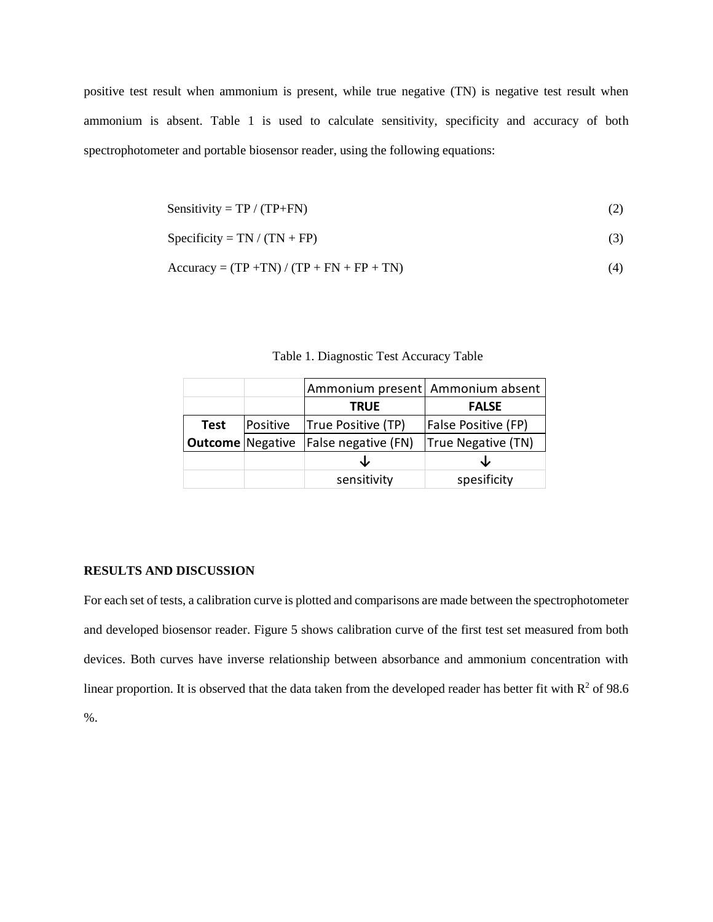positive test result when ammonium is present, while true negative (TN) is negative test result when ammonium is absent. Table 1 is used to calculate sensitivity, specificity and accuracy of both spectrophotometer and portable biosensor reader, using the following equations:

$$
Sensitivity = TP / (TP + FN)
$$
 (2)

$$
Specificity = TN / (TN + FP)
$$
 (3)

$$
Accuracy = (TP + TN) / (TP + FN + FP + TN)
$$
\n(4)

|                         |          | Ammonium present   Ammonium absent |                            |  |  |
|-------------------------|----------|------------------------------------|----------------------------|--|--|
|                         |          | <b>TRUE</b>                        | <b>FALSE</b>               |  |  |
| <b>Test</b>             | Positive | True Positive (TP)                 | <b>False Positive (FP)</b> |  |  |
| <b>Outcome</b> Negative |          | False negative (FN)                | True Negative (TN)         |  |  |
|                         |          |                                    | ◡                          |  |  |
|                         |          | sensitivity                        | spesificity                |  |  |

Table 1. Diagnostic Test Accuracy Table

# **RESULTS AND DISCUSSION**

For each set of tests, a calibration curve is plotted and comparisons are made between the spectrophotometer and developed biosensor reader. Figure 5 shows calibration curve of the first test set measured from both devices. Both curves have inverse relationship between absorbance and ammonium concentration with linear proportion. It is observed that the data taken from the developed reader has better fit with  $R^2$  of 98.6 %.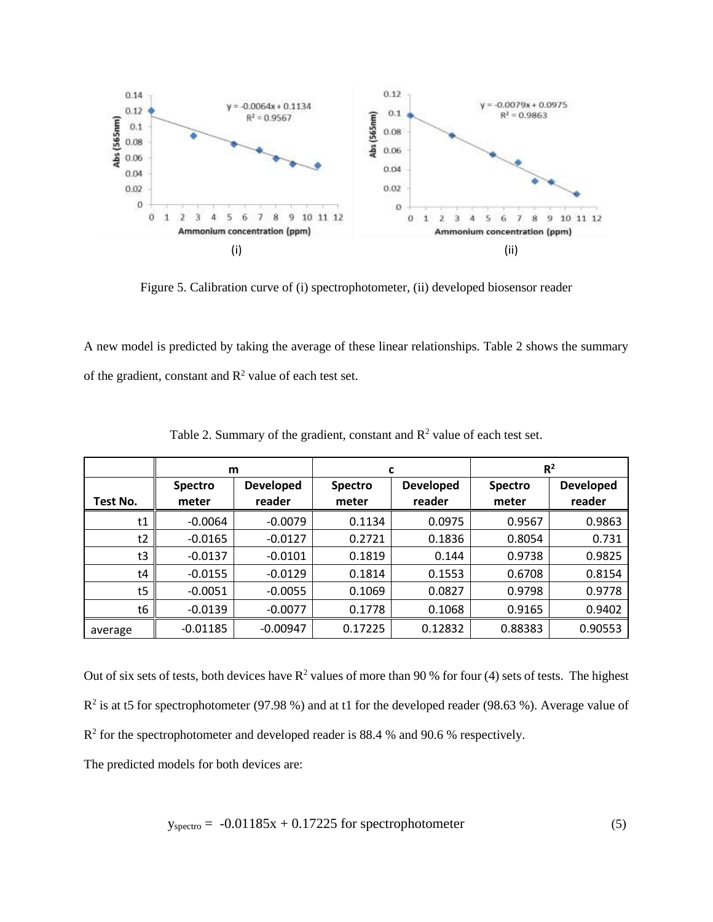

Figure 5. Calibration curve of (i) spectrophotometer, (ii) developed biosensor reader

A new model is predicted by taking the average of these linear relationships. Table 2 shows the summary of the gradient, constant and  $R^2$  value of each test set.

|          | m              |                  | c              |                  | R <sup>2</sup> |                  |
|----------|----------------|------------------|----------------|------------------|----------------|------------------|
|          | <b>Spectro</b> | <b>Developed</b> | <b>Spectro</b> | <b>Developed</b> | Spectro        | <b>Developed</b> |
| Test No. | meter          | reader           | meter          | reader           | meter          | reader           |
| t1       | $-0.0064$      | $-0.0079$        | 0.1134         | 0.0975           | 0.9567         | 0.9863           |
| t2       | $-0.0165$      | $-0.0127$        | 0.2721         | 0.1836           | 0.8054         | 0.731            |
| t3       | $-0.0137$      | $-0.0101$        | 0.1819         | 0.144            | 0.9738         | 0.9825           |
| t4       | $-0.0155$      | $-0.0129$        | 0.1814         | 0.1553           | 0.6708         | 0.8154           |
| t5       | $-0.0051$      | $-0.0055$        | 0.1069         | 0.0827           | 0.9798         | 0.9778           |
| t6       | $-0.0139$      | $-0.0077$        | 0.1778         | 0.1068           | 0.9165         | 0.9402           |
| average  | $-0.01185$     | $-0.00947$       | 0.17225        | 0.12832          | 0.88383        | 0.90553          |

Table 2. Summary of the gradient, constant and  $R^2$  value of each test set.

Out of six sets of tests, both devices have  $R^2$  values of more than 90 % for four (4) sets of tests. The highest  $R^2$  is at t5 for spectrophotometer (97.98 %) and at t1 for the developed reader (98.63 %). Average value of  $R<sup>2</sup>$  for the spectrophotometer and developed reader is 88.4 % and 90.6 % respectively.

The predicted models for both devices are:

$$
y_{\text{spectro}} = -0.01185x + 0.17225 \text{ for spectrophotometer} \tag{5}
$$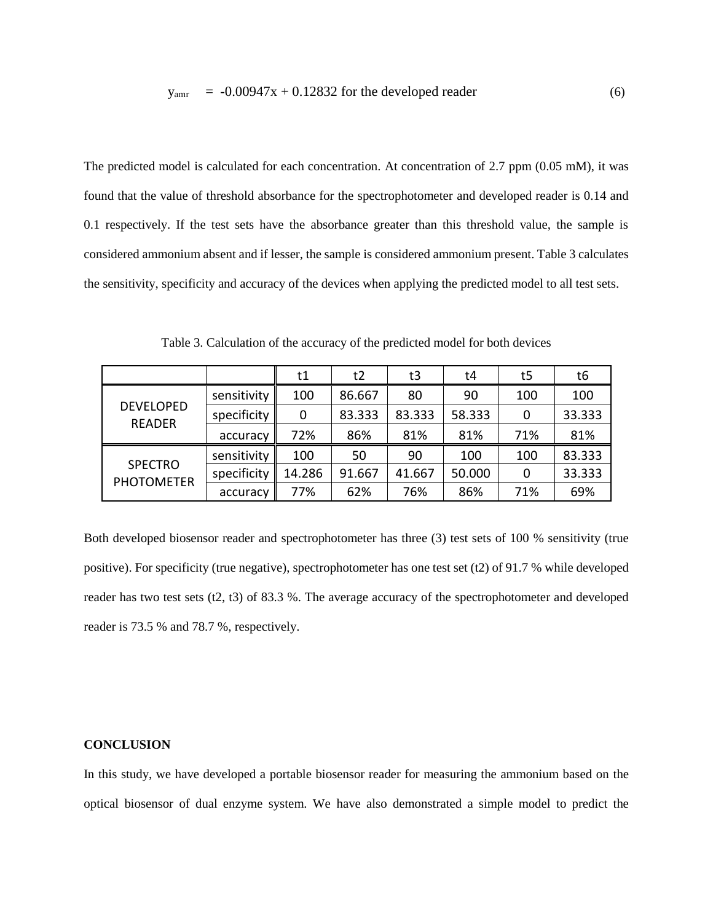The predicted model is calculated for each concentration. At concentration of 2.7 ppm (0.05 mM), it was found that the value of threshold absorbance for the spectrophotometer and developed reader is 0.14 and 0.1 respectively. If the test sets have the absorbance greater than this threshold value, the sample is considered ammonium absent and if lesser, the sample is considered ammonium present. Table 3 calculates the sensitivity, specificity and accuracy of the devices when applying the predicted model to all test sets.

|                                     |             | t1     | t2     | t3     | t4     | t5  | t6     |
|-------------------------------------|-------------|--------|--------|--------|--------|-----|--------|
| <b>DEVELOPED</b><br><b>READER</b>   | sensitivity | 100    | 86.667 | 80     | 90     | 100 | 100    |
|                                     | specificity | 0      | 83.333 | 83.333 | 58.333 | 0   | 33.333 |
|                                     | accuracy    | 72%    | 86%    | 81%    | 81%    | 71% | 81%    |
| <b>SPECTRO</b><br><b>PHOTOMETER</b> | sensitivity | 100    | 50     | 90     | 100    | 100 | 83.333 |
|                                     | specificity | 14.286 | 91.667 | 41.667 | 50.000 | 0   | 33.333 |
|                                     | accuracy    | 77%    | 62%    | 76%    | 86%    | 71% | 69%    |

Table 3. Calculation of the accuracy of the predicted model for both devices

Both developed biosensor reader and spectrophotometer has three (3) test sets of 100 % sensitivity (true positive). For specificity (true negative), spectrophotometer has one test set (t2) of 91.7 % while developed reader has two test sets (t2, t3) of 83.3 %. The average accuracy of the spectrophotometer and developed reader is 73.5 % and 78.7 %, respectively.

### **CONCLUSION**

In this study, we have developed a portable biosensor reader for measuring the ammonium based on the optical biosensor of dual enzyme system. We have also demonstrated a simple model to predict the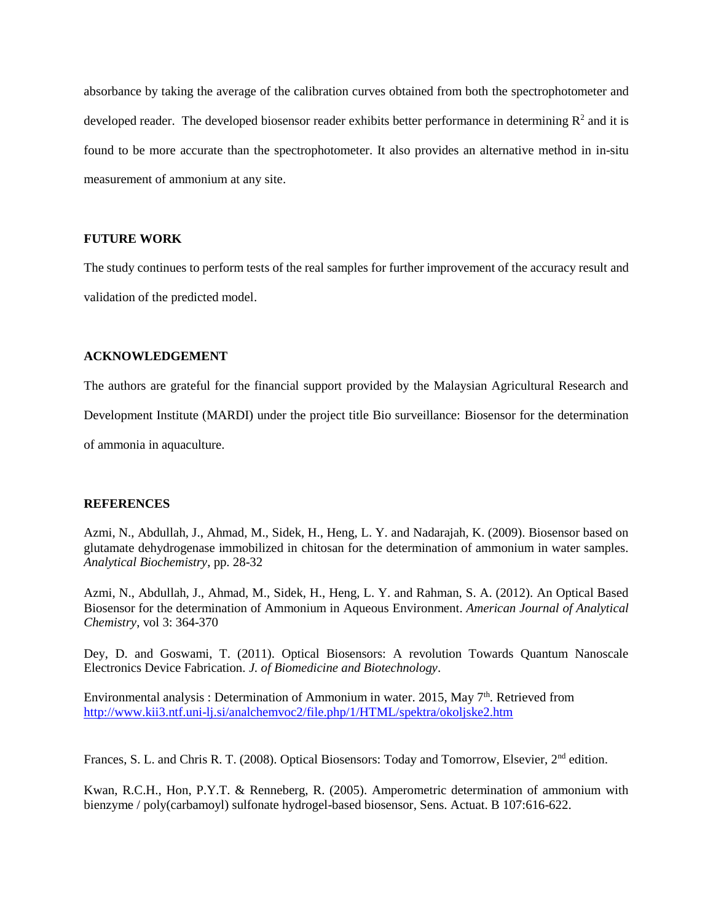absorbance by taking the average of the calibration curves obtained from both the spectrophotometer and developed reader. The developed biosensor reader exhibits better performance in determining  $\mathbb{R}^2$  and it is found to be more accurate than the spectrophotometer. It also provides an alternative method in in-situ measurement of ammonium at any site.

# **FUTURE WORK**

The study continues to perform tests of the real samples for further improvement of the accuracy result and validation of the predicted model.

# **ACKNOWLEDGEMENT**

The authors are grateful for the financial support provided by the Malaysian Agricultural Research and Development Institute (MARDI) under the project title Bio surveillance: Biosensor for the determination of ammonia in aquaculture.

# **REFERENCES**

Azmi, N., Abdullah, J., Ahmad, M., Sidek, H., Heng, L. Y. and Nadarajah, K. (2009). Biosensor based on glutamate dehydrogenase immobilized in chitosan for the determination of ammonium in water samples. *Analytical Biochemistry*, pp. 28-32

Azmi, N., Abdullah, J., Ahmad, M., Sidek, H., Heng, L. Y. and Rahman, S. A. (2012). An Optical Based Biosensor for the determination of Ammonium in Aqueous Environment. *American Journal of Analytical Chemistry*, vol 3: 364-370

Dey, D. and Goswami, T. (2011). Optical Biosensors: A revolution Towards Quantum Nanoscale Electronics Device Fabrication. *J. of Biomedicine and Biotechnology*.

Environmental analysis : Determination of Ammonium in water. 2015, May  $7<sup>th</sup>$ . Retrieved from <http://www.kii3.ntf.uni-lj.si/analchemvoc2/file.php/1/HTML/spektra/okoljske2.htm>

Frances, S. L. and Chris R. T. (2008). Optical Biosensors: Today and Tomorrow, Elsevier, 2nd edition.

Kwan, R.C.H., Hon, P.Y.T. & Renneberg, R. (2005). Amperometric determination of ammonium with bienzyme / poly(carbamoyl) sulfonate hydrogel-based biosensor, Sens. Actuat. B 107:616-622.